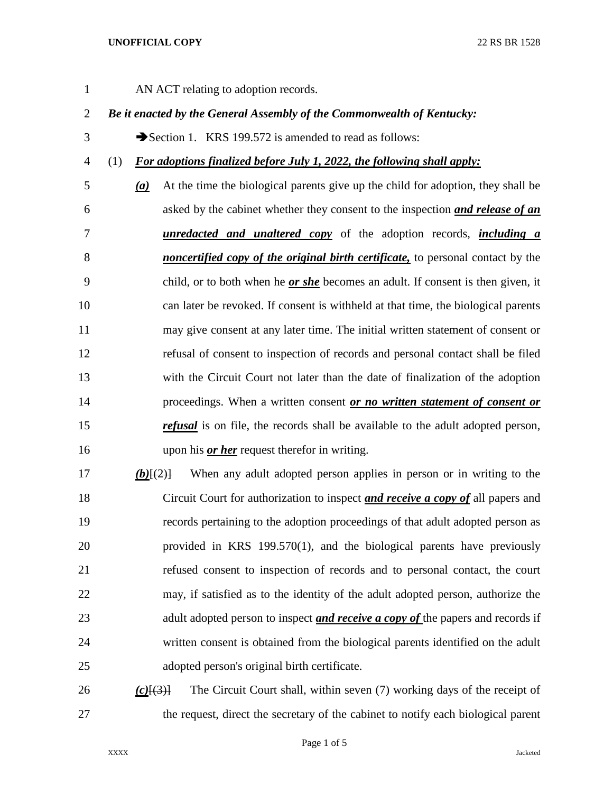### **UNOFFICIAL COPY** 22 RS BR 1528

AN ACT relating to adoption records.

## *Be it enacted by the General Assembly of the Commonwealth of Kentucky:*

3 Section 1. KRS 199.572 is amended to read as follows:

## (1) *For adoptions finalized before July 1, 2022, the following shall apply:*

- *(a)* At the time the biological parents give up the child for adoption, they shall be asked by the cabinet whether they consent to the inspection *and release of an unredacted and unaltered copy* of the adoption records, *including a noncertified copy of the original birth certificate,* to personal contact by the child, or to both when he *or she* becomes an adult. If consent is then given, it can later be revoked. If consent is withheld at that time, the biological parents may give consent at any later time. The initial written statement of consent or refusal of consent to inspection of records and personal contact shall be filed with the Circuit Court not later than the date of finalization of the adoption proceedings. When a written consent *or no written statement of consent or refusal* is on file, the records shall be available to the adult adopted person, upon his *or her* request therefor in writing.
- *(b)*[(2)] When any adult adopted person applies in person or in writing to the Circuit Court for authorization to inspect *and receive a copy of* all papers and records pertaining to the adoption proceedings of that adult adopted person as provided in KRS 199.570(1), and the biological parents have previously refused consent to inspection of records and to personal contact, the court may, if satisfied as to the identity of the adult adopted person, authorize the adult adopted person to inspect *and receive a copy of* the papers and records if written consent is obtained from the biological parents identified on the adult adopted person's original birth certificate.

 *(c)*[(3)] The Circuit Court shall, within seven (7) working days of the receipt of the request, direct the secretary of the cabinet to notify each biological parent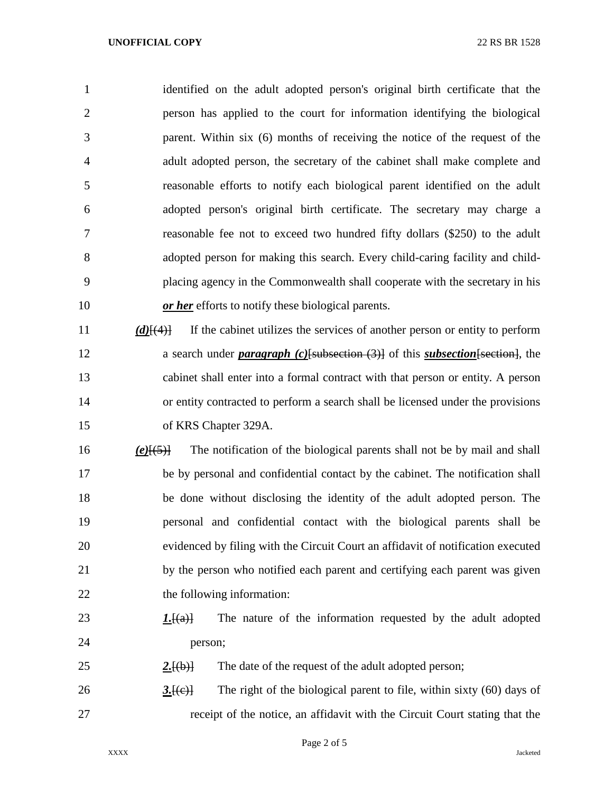#### **UNOFFICIAL COPY** 22 RS BR 1528

 identified on the adult adopted person's original birth certificate that the person has applied to the court for information identifying the biological parent. Within six (6) months of receiving the notice of the request of the adult adopted person, the secretary of the cabinet shall make complete and reasonable efforts to notify each biological parent identified on the adult adopted person's original birth certificate. The secretary may charge a reasonable fee not to exceed two hundred fifty dollars (\$250) to the adult adopted person for making this search. Every child-caring facility and child- placing agency in the Commonwealth shall cooperate with the secretary in his *or her* efforts to notify these biological parents.

 *(d)*[(4)] If the cabinet utilizes the services of another person or entity to perform a search under *paragraph (c)*[subsection (3)] of this *subsection*[section], the cabinet shall enter into a formal contract with that person or entity. A person or entity contracted to perform a search shall be licensed under the provisions of KRS Chapter 329A.

 *(e)*[(5)] The notification of the biological parents shall not be by mail and shall be by personal and confidential contact by the cabinet. The notification shall be done without disclosing the identity of the adult adopted person. The personal and confidential contact with the biological parents shall be evidenced by filing with the Circuit Court an affidavit of notification executed by the person who notified each parent and certifying each parent was given 22 the following information:

- *1.*[(a)] The nature of the information requested by the adult adopted person;
- 2.<del>[(b)]</del> The date of the request of the adult adopted person;

26 3.<del>[(e)]</del> The right of the biological parent to file, within sixty (60) days of receipt of the notice, an affidavit with the Circuit Court stating that the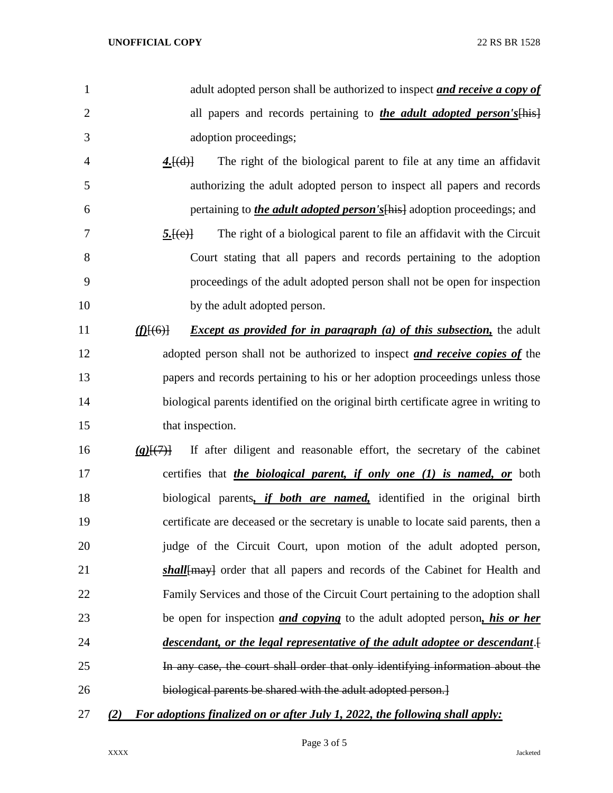| 1              | adult adopted person shall be authorized to inspect and receive a copy of                |
|----------------|------------------------------------------------------------------------------------------|
| $\overline{2}$ | all papers and records pertaining to <i>the adult adopted person's</i>                   |
| 3              | adoption proceedings;                                                                    |
| 4              | The right of the biological parent to file at any time an affidavit<br>4.[(d)]           |
| 5              | authorizing the adult adopted person to inspect all papers and records                   |
| 6              | pertaining to <i>the adult adopted person's</i> [his] adoption proceedings; and          |
| 7              | The right of a biological parent to file an affidavit with the Circuit<br>5.[(e)]        |
| 8              | Court stating that all papers and records pertaining to the adoption                     |
| 9              | proceedings of the adult adopted person shall not be open for inspection                 |
| 10             | by the adult adopted person.                                                             |
| 11             | <i>Except as provided for in paragraph (a) of this subsection</i> , the adult<br>L(6)    |
| 12             | adopted person shall not be authorized to inspect <i>and receive copies of</i> the       |
| 13             | papers and records pertaining to his or her adoption proceedings unless those            |
| 14             | biological parents identified on the original birth certificate agree in writing to      |
| 15             | that inspection.                                                                         |
| 16             | If after diligent and reasonable effort, the secretary of the cabinet<br>(g)(7)          |
| 17             | certifies that <i>the biological parent, if only one (1) is named, or</i> both           |
| 18             | biological parents, if both are named, identified in the original birth                  |
| 19             | certificate are deceased or the secretary is unable to locate said parents, then a       |
| 20             | judge of the Circuit Court, upon motion of the adult adopted person,                     |
| 21             | shall {- shall } and records of the Cabinet for Health and                               |
| 22             | Family Services and those of the Circuit Court pertaining to the adoption shall          |
| 23             | be open for inspection <i>and copying</i> to the adult adopted person, <i>his or her</i> |
| 24             | descendant, or the legal representative of the adult adoptee or descendant.              |
| 25             | In any case, the court shall order that only identifying information about the           |
| 26             | biological parents be shared with the adult adopted person.]                             |
| 27             | For adoptions finalized on or after July 1, 2022, the following shall apply:<br>(2)      |

Page 3 of 5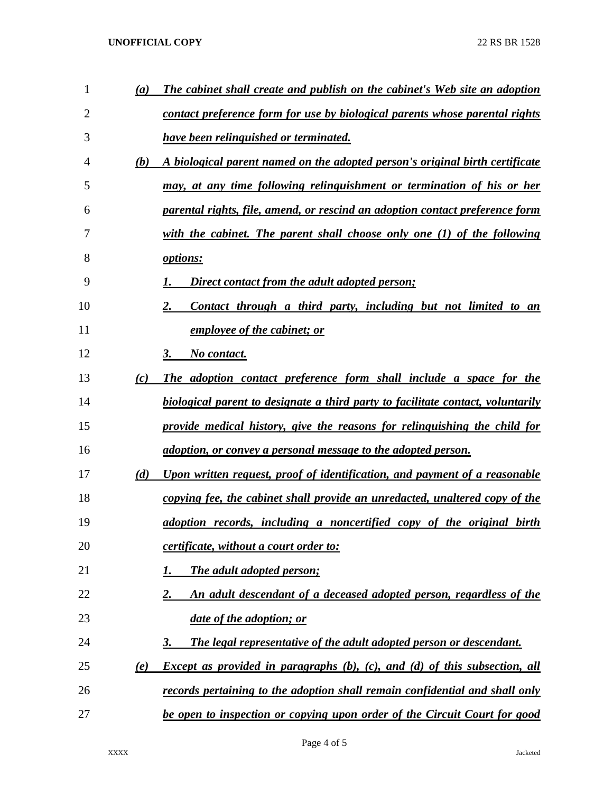## **UNOFFICIAL COPY** 22 RS BR 1528

| $\mathbf{1}$ | (a) | The cabinet shall create and publish on the cabinet's Web site an adoption        |
|--------------|-----|-----------------------------------------------------------------------------------|
| 2            |     | contact preference form for use by biological parents whose parental rights       |
| 3            |     | <b>have been relinguished or terminated.</b>                                      |
| 4            | (b) | A biological parent named on the adopted person's original birth certificate      |
| 5            |     | may, at any time following relinguishment or termination of his or her            |
| 6            |     | parental rights, file, amend, or rescind an adoption contact preference form      |
| 7            |     | with the cabinet. The parent shall choose only one $(1)$ of the following         |
| 8            |     | options:                                                                          |
| 9            |     | Direct contact from the adult adopted person;                                     |
| 10           |     | 2.<br>Contact through a third party, including but not limited to an              |
| 11           |     | employee of the cabinet; or                                                       |
| 12           |     | No contact.<br>3.                                                                 |
| 13           | (c) | The adoption contact preference form shall include a space for the                |
| 14           |     | biological parent to designate a third party to facilitate contact, voluntarily   |
| 15           |     | provide medical history, give the reasons for relinguishing the child for         |
| 16           |     | <u>adoption, or convey a personal message to the adopted person.</u>              |
| 17           | (d) | Upon written request, proof of identification, and payment of a reasonable        |
| 18           |     | copying fee, the cabinet shall provide an unredacted, unaltered copy of the       |
| 19           |     | adoption records, including a noncertified copy of the original birth             |
| 20           |     | <i>certificate, without a court order to:</i>                                     |
| 21           |     | The adult adopted person;<br>1.                                                   |
| 22           |     | An adult descendant of a deceased adopted person, regardless of the<br>2.         |
| 23           |     | <i>date of the adoption; or</i>                                                   |
| 24           |     | The legal representative of the adult adopted person or descendant.<br>3.         |
| 25           | (e) | <b>Except as provided in paragraphs (b), (c), and (d) of this subsection, all</b> |
| 26           |     | records pertaining to the adoption shall remain confidential and shall only       |
| 27           |     | be open to inspection or copying upon order of the Circuit Court for good         |